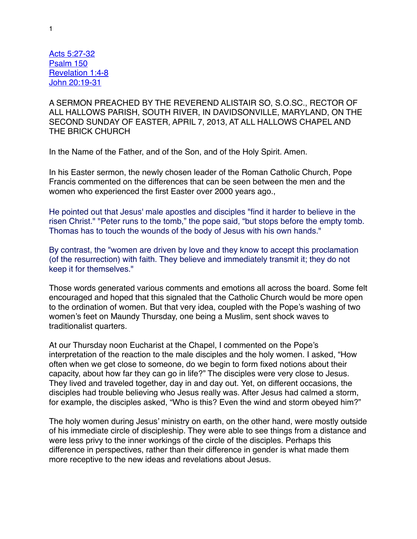Acts 5:27-32 Psalm 150 Revelation 1:4-8 John 20:19-31

A SERMON PREACHED BY THE REVEREND ALISTAIR SO, S.O.SC., RECTOR OF ALL HALLOWS PARISH, SOUTH RIVER, IN DAVIDSONVILLE, MARYLAND, ON THE SECOND SUNDAY OF EASTER, APRIL 7, 2013, AT ALL HALLOWS CHAPEL AND THE BRICK CHURCH

In the Name of the Father, and of the Son, and of the Holy Spirit. Amen.

In his Easter sermon, the newly chosen leader of the Roman Catholic Church, Pope Francis commented on the differences that can be seen between the men and the women who experienced the first Easter over 2000 years ago.,

He pointed out that Jesus' male apostles and disciples "find it harder to believe in the risen Christ." "Peter runs to the tomb," the pope said, "but stops before the empty tomb. Thomas has to touch the wounds of the body of Jesus with his own hands."

By contrast, the "women are driven by love and they know to accept this proclamation (of the resurrection) with faith. They believe and immediately transmit it; they do not keep it for themselves."

Those words generated various comments and emotions all across the board. Some felt encouraged and hoped that this signaled that the Catholic Church would be more open to the ordination of women. But that very idea, coupled with the Pope's washing of two women's feet on Maundy Thursday, one being a Muslim, sent shock waves to traditionalist quarters.

At our Thursday noon Eucharist at the Chapel, I commented on the Pope's interpretation of the reaction to the male disciples and the holy women. I asked, "How often when we get close to someone, do we begin to form fixed notions about their capacity, about how far they can go in life?" The disciples were very close to Jesus. They lived and traveled together, day in and day out. Yet, on different occasions, the disciples had trouble believing who Jesus really was. After Jesus had calmed a storm, for example, the disciples asked, "Who is this? Even the wind and storm obeyed him?"

The holy women during Jesus' ministry on earth, on the other hand, were mostly outside of his immediate circle of discipleship. They were able to see things from a distance and were less privy to the inner workings of the circle of the disciples. Perhaps this difference in perspectives, rather than their difference in gender is what made them more receptive to the new ideas and revelations about Jesus.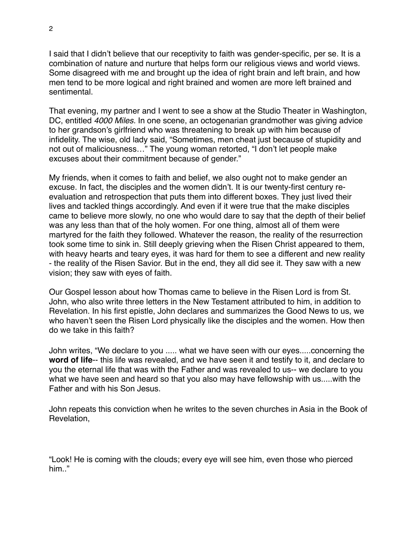I said that I didn't believe that our receptivity to faith was gender-specific, per se. It is a combination of nature and nurture that helps form our religious views and world views. Some disagreed with me and brought up the idea of right brain and left brain, and how men tend to be more logical and right brained and women are more left brained and sentimental.

That evening, my partner and I went to see a show at the Studio Theater in Washington, DC, entitled *4000 Miles.* In one scene, an octogenarian grandmother was giving advice to her grandson's girlfriend who was threatening to break up with him because of infidelity. The wise, old lady said, "Sometimes, men cheat just because of stupidity and not out of maliciousness…" The young woman retorted, "I don't let people make excuses about their commitment because of gender."

My friends, when it comes to faith and belief, we also ought not to make gender an excuse. In fact, the disciples and the women didn't. It is our twenty-first century reevaluation and retrospection that puts them into different boxes. They just lived their lives and tackled things accordingly. And even if it were true that the make disciples came to believe more slowly, no one who would dare to say that the depth of their belief was any less than that of the holy women. For one thing, almost all of them were martyred for the faith they followed. Whatever the reason, the reality of the resurrection took some time to sink in. Still deeply grieving when the Risen Christ appeared to them, with heavy hearts and teary eyes, it was hard for them to see a different and new reality - the reality of the Risen Savior. But in the end, they all did see it. They saw with a new vision; they saw with eyes of faith.

Our Gospel lesson about how Thomas came to believe in the Risen Lord is from St. John, who also write three letters in the New Testament attributed to him, in addition to Revelation. In his first epistle, John declares and summarizes the Good News to us, we who haven't seen the Risen Lord physically like the disciples and the women. How then do we take in this faith?

John writes, "We declare to you ..... what we have seen with our eyes.....concerning the **word of life**-- this life was revealed, and we have seen it and testify to it, and declare to you the eternal life that was with the Father and was revealed to us-- we declare to you what we have seen and heard so that you also may have fellowship with us.....with the Father and with his Son Jesus.

John repeats this conviction when he writes to the seven churches in Asia in the Book of Revelation,

"Look! He is coming with the clouds; every eye will see him, even those who pierced him<sup>"</sup>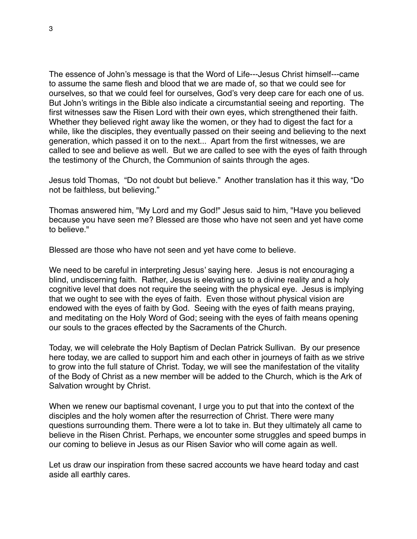The essence of John's message is that the Word of Life---Jesus Christ himself---came to assume the same flesh and blood that we are made of, so that we could see for ourselves, so that we could feel for ourselves, God's very deep care for each one of us. But John's writings in the Bible also indicate a circumstantial seeing and reporting. The first witnesses saw the Risen Lord with their own eyes, which strengthened their faith. Whether they believed right away like the women, or they had to digest the fact for a while, like the disciples, they eventually passed on their seeing and believing to the next generation, which passed it on to the next... Apart from the first witnesses, we are called to see and believe as well. But we are called to see with the eyes of faith through the testimony of the Church, the Communion of saints through the ages.

Jesus told Thomas, "Do not doubt but believe." Another translation has it this way, "Do not be faithless, but believing."

Thomas answered him, "My Lord and my God!" Jesus said to him, "Have you believed because you have seen me? Blessed are those who have not seen and yet have come to believe."

Blessed are those who have not seen and yet have come to believe.

We need to be careful in interpreting Jesus' saying here. Jesus is not encouraging a blind, undiscerning faith. Rather, Jesus is elevating us to a divine reality and a holy cognitive level that does not require the seeing with the physical eye. Jesus is implying that we ought to see with the eyes of faith. Even those without physical vision are endowed with the eyes of faith by God. Seeing with the eyes of faith means praying, and meditating on the Holy Word of God; seeing with the eyes of faith means opening our souls to the graces effected by the Sacraments of the Church.

Today, we will celebrate the Holy Baptism of Declan Patrick Sullivan. By our presence here today, we are called to support him and each other in journeys of faith as we strive to grow into the full stature of Christ. Today, we will see the manifestation of the vitality of the Body of Christ as a new member will be added to the Church, which is the Ark of Salvation wrought by Christ.

When we renew our baptismal covenant, I urge you to put that into the context of the disciples and the holy women after the resurrection of Christ. There were many questions surrounding them. There were a lot to take in. But they ultimately all came to believe in the Risen Christ. Perhaps, we encounter some struggles and speed bumps in our coming to believe in Jesus as our Risen Savior who will come again as well.

Let us draw our inspiration from these sacred accounts we have heard today and cast aside all earthly cares.